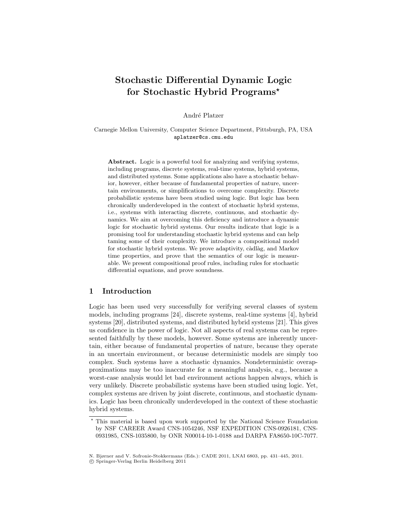# Stochastic Differential Dynamic Logic for Stochastic Hybrid Programs\*

André Platzer

Carnegie Mellon University, Computer Science Department, Pittsburgh, PA, USA aplatzer@cs.cmu.edu

Abstract. Logic is a powerful tool for analyzing and verifying systems, including programs, discrete systems, real-time systems, hybrid systems, and distributed systems. Some applications also have a stochastic behavior, however, either because of fundamental properties of nature, uncertain environments, or simplifications to overcome complexity. Discrete probabilistic systems have been studied using logic. But logic has been chronically underdeveloped in the context of stochastic hybrid systems, i.e., systems with interacting discrete, continuous, and stochastic dynamics. We aim at overcoming this deficiency and introduce a dynamic logic for stochastic hybrid systems. Our results indicate that logic is a promising tool for understanding stochastic hybrid systems and can help taming some of their complexity. We introduce a compositional model for stochastic hybrid systems. We prove adaptivity, càdlàg, and Markov time properties, and prove that the semantics of our logic is measurable. We present compositional proof rules, including rules for stochastic differential equations, and prove soundness.

## 1 Introduction

Logic has been used very successfully for verifying several classes of system models, including programs [24], discrete systems, real-time systems [4], hybrid systems [20], distributed systems, and distributed hybrid systems [21]. This gives us confidence in the power of logic. Not all aspects of real systems can be represented faithfully by these models, however. Some systems are inherently uncertain, either because of fundamental properties of nature, because they operate in an uncertain environment, or because deterministic models are simply too complex. Such systems have a stochastic dynamics. Nondeterministic overapproximations may be too inaccurate for a meaningful analysis, e.g., because a worst-case analysis would let bad environment actions happen always, which is very unlikely. Discrete probabilistic systems have been studied using logic. Yet, complex systems are driven by joint discrete, continuous, and stochastic dynamics. Logic has been chronically underdeveloped in the context of these stochastic hybrid systems.

 $^\star$  This material is based upon work supported by the National Science Foundation by NSF CAREER Award CNS-1054246, NSF EXPEDITION CNS-0926181, CNS-0931985, CNS-1035800, by ONR N00014-10-1-0188 and DARPA FA8650-10C-7077.

N. Bjørner and V. Sofronie-Stokkermans (Eds.): CADE 2011, LNAI 6803, pp. 431–445, 2011.

c Springer-Verlag Berlin Heidelberg 2011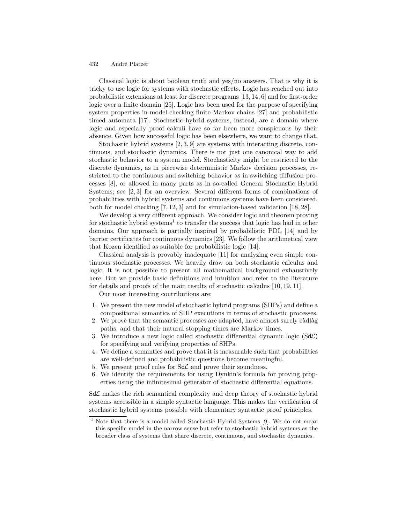Classical logic is about boolean truth and yes/no answers. That is why it is tricky to use logic for systems with stochastic effects. Logic has reached out into probabilistic extensions at least for discrete programs [13, 14, 6] and for first-order logic over a finite domain [25]. Logic has been used for the purpose of specifying system properties in model checking finite Markov chains [27] and probabilistic timed automata [17]. Stochastic hybrid systems, instead, are a domain where logic and especially proof calculi have so far been more conspicuous by their absence. Given how successful logic has been elsewhere, we want to change that.

Stochastic hybrid systems [2, 3, 9] are systems with interacting discrete, continuous, and stochastic dynamics. There is not just one canonical way to add stochastic behavior to a system model. Stochasticity might be restricted to the discrete dynamics, as in piecewise deterministic Markov decision processes, restricted to the continuous and switching behavior as in switching diffusion processes [8], or allowed in many parts as in so-called General Stochastic Hybrid Systems; see [2, 3] for an overview. Several different forms of combinations of probabilities with hybrid systems and continuous systems have been considered, both for model checking [7, 12, 3] and for simulation-based validation [18, 28].

We develop a very different approach. We consider logic and theorem proving for stochastic hybrid systems<sup>1</sup> to transfer the success that logic has had in other domains. Our approach is partially inspired by probabilistic PDL [14] and by barrier certificates for continuous dynamics [23]. We follow the arithmetical view that Kozen identified as suitable for probabilistic logic [14].

Classical analysis is provably inadequate [11] for analyzing even simple continuous stochastic processes. We heavily draw on both stochastic calculus and logic. It is not possible to present all mathematical background exhaustively here. But we provide basic definitions and intuition and refer to the literature for details and proofs of the main results of stochastic calculus [10, 19, 11].

Our most interesting contributions are:

- 1. We present the new model of stochastic hybrid programs (SHPs) and define a compositional semantics of SHP executions in terms of stochastic processes.
- 2. We prove that the semantic processes are adapted, have almost surely càdlàg paths, and that their natural stopping times are Markov times.
- 3. We introduce a new logic called stochastic differential dynamic logic  $(Sd\mathcal{L})$ for specifying and verifying properties of SHPs.
- 4. We define a semantics and prove that it is measurable such that probabilities are well-defined and probabilistic questions become meaningful.
- 5. We present proof rules for  $Sd\mathcal{L}$  and prove their soundness.
- 6. We identify the requirements for using Dynkin's formula for proving properties using the infinitesimal generator of stochastic differential equations.

 $Sd\mathcal{L}$  makes the rich semantical complexity and deep theory of stochastic hybrid systems accessible in a simple syntactic language. This makes the verification of stochastic hybrid systems possible with elementary syntactic proof principles.

<sup>&</sup>lt;sup>1</sup> Note that there is a model called Stochastic Hybrid Systems [9]. We do not mean this specific model in the narrow sense but refer to stochastic hybrid systems as the broader class of systems that share discrete, continuous, and stochastic dynamics.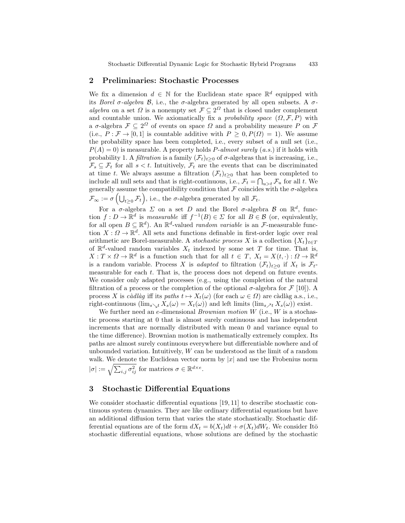Stochastic Differential Dynamic Logic for Stochastic Hybrid Programs 433

#### 2 Preliminaries: Stochastic Processes

We fix a dimension  $d \in \mathbb{N}$  for the Euclidean state space  $\mathbb{R}^d$  equipped with its Borel  $\sigma$ -algebra  $\beta$ , i.e., the  $\sigma$ -algebra generated by all open subsets. A  $\sigma$ algebra on a set  $\Omega$  is a nonempty set  $\mathcal{F} \subseteq 2^{\Omega}$  that is closed under complement and countable union. We axiomatically fix a *probability space*  $(\Omega, \mathcal{F}, P)$  with a  $\sigma$ -algebra  $\mathcal{F} \subseteq 2^{\Omega}$  of events on space  $\Omega$  and a probability measure P on  $\mathcal{F}$ (i.e.,  $P : \mathcal{F} \to [0, 1]$  is countable additive with  $P \geq 0, P(\Omega) = 1$ ). We assume the probability space has been completed, i.e., every subset of a null set (i.e.,  $P(A) = 0$ ) is measurable. A property holds *P*-almost surely (a.s.) if it holds with probability 1. A *filtration* is a family  $(\mathcal{F}_t)_{t>0}$  of  $\sigma$ -algebras that is increasing, i.e.,  $\mathcal{F}_s \subseteq \mathcal{F}_t$  for all  $s < t$ . Intuitively,  $\mathcal{F}_t$  are the events that can be discriminated at time t. We always assume a filtration  $(\mathcal{F}_t)_{t>0}$  that has been completed to include all null sets and that is right-continuous, i.e.,  $\mathcal{F}_t = \bigcap_{u>t} \mathcal{F}_u$  for all t. We generally assume the compatibility condition that  $\mathcal F$  coincides with the  $\sigma$ -algebra  $\mathcal{F}_{\infty} := \sigma \left( \bigcup_{t \geq 0} \mathcal{F}_t \right)$ , i.e., the  $\sigma$ -algebra generated by all  $\mathcal{F}_t$ .

For a  $\sigma$ -algebra  $\Sigma$  on a set D and the Borel  $\sigma$ -algebra  $\mathcal B$  on  $\mathbb R^d$ , function  $f: D \to \mathbb{R}^d$  is *measurable* iff  $f^{-1}(B) \in \Sigma$  for all  $B \in \mathcal{B}$  (or, equivalently, for all open  $B \subseteq \mathbb{R}^d$ ). An  $\mathbb{R}^d$ -valued *random variable* is an *F*-measurable function  $X: \Omega \to \mathbb{R}^d$ . All sets and functions definable in first-order logic over real arithmetic are Borel-measurable. A *stochastic process* X is a collection  $\{X_t\}_{t\in\mathcal{T}}$ of  $\mathbb{R}^d$ -valued random variables  $X_t$  indexed by some set T for time. That is,  $X: T \times \Omega \to \mathbb{R}^d$  is a function such that for all  $t \in T$ ,  $X_t = X(t, \cdot): \Omega \to \mathbb{R}^d$ is a random variable. Process X is adapted to filtration  $(\mathcal{F}_t)_{t>0}$  if  $X_t$  is  $\mathcal{F}_t$ measurable for each  $t$ . That is, the process does not depend on future events. We consider only adapted processes (e.g., using the completion of the natural filtration of a process or the completion of the optional  $\sigma$ -algebra for  $\mathcal{F}$  [10]). A process X is càdlàg iff its paths  $t \mapsto X_t(\omega)$  (for each  $\omega \in \Omega$ ) are càdlàg a.s., i.e., right-continuous (lim<sub>s  $\chi_t X_s(\omega) = X_t(\omega)$ ) and left limits (lim<sub>s  $\chi_t X_s(\omega)$ ) exist.</sub></sub>

We further need an e-dimensional *Brownian motion*  $W$  (i.e.,  $W$  is a stochastic process starting at 0 that is almost surely continuous and has independent increments that are normally distributed with mean 0 and variance equal to the time difference). Brownian motion is mathematically extremely complex. Its paths are almost surely continuous everywhere but differentiable nowhere and of unbounded variation. Intuitively,  $W$  can be understood as the limit of a random walk. We denote the Euclidean vector norm by  $|x|$  and use the Frobenius norm  $|\sigma| := \sqrt{\sum_{i,j} \sigma_{ij}^2}$  for matrices  $\sigma \in \mathbb{R}^{d \times e}$ .

# 3 Stochastic Differential Equations

We consider stochastic differential equations [19, 11] to describe stochastic continuous system dynamics. They are like ordinary differential equations but have an additional diffusion term that varies the state stochastically. Stochastic differential equations are of the form  $dX_t = b(X_t)dt + \sigma(X_t)dW_t$ . We consider Itō stochastic differential equations, whose solutions are defined by the stochastic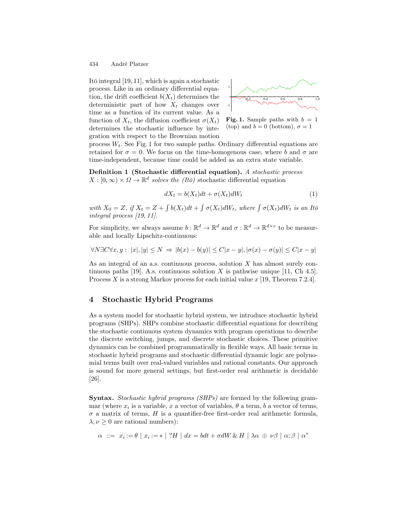Itō integral  $[19, 11]$ , which is again a stochastic process. Like in an ordinary differential equation, the drift coefficient  $b(X_t)$  determines the deterministic part of how  $X_t$  changes over time as a function of its current value. As a function of  $X_t$ , the diffusion coefficient  $\sigma(X_t)$ determines the stochastic influence by integration with respect to the Brownian motion



Fig. 1. Sample paths with  $b = 1$ (top) and  $b = 0$  (bottom),  $\sigma = 1$ 

process  $W_t$ . See Fig. 1 for two sample paths. Ordinary differential equations are retained for  $\sigma = 0$ . We focus on the time-homogenous case, where b and  $\sigma$  are time-independent, because time could be added as an extra state variable.

Definition 1 (Stochastic differential equation). A stochastic process  $X : [0, \infty) \times \Omega \to \mathbb{R}^d$  solves the (Ito) stochastic differential equation

$$
dX_t = b(X_t)dt + \sigma(X_t)dW_t
$$
\n<sup>(1)</sup>

with  $X_0 = Z$ , if  $X_t = Z + \int b(X_t)dt + \int \sigma(X_t)dW_t$ , where  $\int \sigma(X_t)dW_t$  is an Itō integral process [19, 11].

For simplicity, we always assume  $b : \mathbb{R}^d \to \mathbb{R}^d$  and  $\sigma : \mathbb{R}^d \to \mathbb{R}^{d \times e}$  to be measurable and locally Lipschitz-continuous:

$$
\forall N \exists C \forall x,y: \; |x|,|y| \leq N \; \Rightarrow \; |b(x)-b(y)| \leq C |x-y|, |\sigma(x)-\sigma(y)| \leq C |x-y|
$$

As an integral of an a.s. continuous process, solution  $X$  has almost surely continuous paths [19]. A.s. continuous solution X is pathwise unique [11, Ch 4.5]. Process X is a strong Markov process for each initial value  $x$  [19, Theorem 7.2.4].

## 4 Stochastic Hybrid Programs

As a system model for stochastic hybrid system, we introduce stochastic hybrid programs (SHPs). SHPs combine stochastic differential equations for describing the stochastic continuous system dynamics with program operations to describe the discrete switching, jumps, and discrete stochastic choices. These primitive dynamics can be combined programmatically in flexible ways. All basic terms in stochastic hybrid programs and stochastic differential dynamic logic are polynomial terms built over real-valued variables and rational constants. Our approach is sound for more general settings, but first-order real arithmetic is decidable [26].

Syntax. Stochastic hybrid programs (SHPs) are formed by the following grammar (where  $x_i$  is a variable, x a vector of variables,  $\theta$  a term, b a vector of terms,  $\sigma$  a matrix of terms, H is a quantifier-free first-order real arithmetic formula,  $\lambda, \nu \geq 0$  are rational numbers):

$$
\alpha \ ::= x_i := \theta \mid x_i := * \mid ?H \mid dx = bdt + \sigma dW \& H \mid \lambda \alpha \oplus \nu \beta \mid \alpha; \beta \mid \alpha^*
$$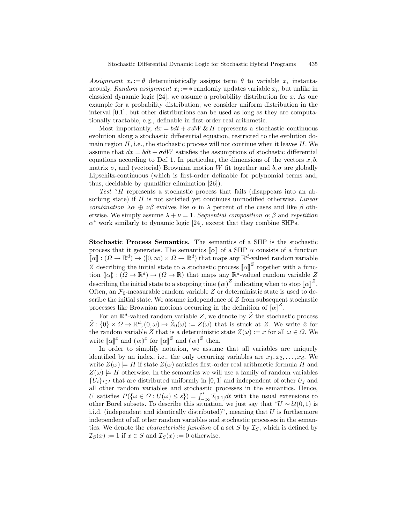Assignment  $x_i := \theta$  deterministically assigns term  $\theta$  to variable  $x_i$  instantaneously. Random assignment  $x_i := *$  randomly updates variable  $x_i$ , but unlike in classical dynamic logic  $[24]$ , we assume a probability distribution for x. As one example for a probability distribution, we consider uniform distribution in the interval [0,1], but other distributions can be used as long as they are computationally tractable, e.g., definable in first-order real arithmetic.

Most importantly,  $dx = bdt + \sigma dW \& H$  represents a stochastic continuous evolution along a stochastic differential equation, restricted to the evolution domain region  $H$ , i.e., the stochastic process will not continue when it leaves  $H$ . We assume that  $dx = bdt + \sigma dW$  satisfies the assumptions of stochastic differential equations according to Def. 1. In particular, the dimensions of the vectors  $x, b$ , matrix  $\sigma$ , and (vectorial) Brownian motion W fit together and  $b, \sigma$  are globally Lipschitz-continuous (which is first-order definable for polynomial terms and, thus, decidable by quantifier elimination [26]).

Test ?H represents a stochastic process that fails (disappears into an absorbing state) if  $H$  is not satisfied yet continues unmodified otherwise. Linear combination  $\lambda \alpha \oplus \nu \beta$  evolves like  $\alpha$  in  $\lambda$  percent of the cases and like  $\beta$  otherwise. We simply assume  $\lambda + \nu = 1$ . Sequential composition  $\alpha$ ;  $\beta$  and repetition  $\alpha^*$  work similarly to dynamic logic [24], except that they combine SHPs.

Stochastic Process Semantics. The semantics of a SHP is the stochastic process that it generates. The semantics  $\llbracket \alpha \rrbracket$  of a SHP  $\alpha$  consists of a function  $\llbracket \alpha \rrbracket : (\Omega \to \mathbb{R}^d) \to (\llbracket 0, \infty) \times \Omega \to \mathbb{R}^d$  that maps any  $\mathbb{R}^d$ -valued random variable Z describing the initial state to a stochastic process  $\llbracket \alpha \rrbracket^Z$  together with a function  $(\alpha) : (\Omega \to \mathbb{R}^d) \to (\Omega \to \mathbb{R})$  that maps any  $\mathbb{R}^d$ -valued random variable Z describing the initial state to a stopping time  $(\alpha)^Z$  indicating when to stop  $\llbracket \alpha \rrbracket^Z$ . Often, an  $\mathcal{F}_0$ -measurable random variable Z or deterministic state is used to describe the initial state. We assume independence of Z from subsequent stochastic processes like Brownian motions occurring in the definition of  $\llbracket \alpha \rrbracket^Z$ .

For an  $\mathbb{R}^d$ -valued random variable Z, we denote by  $\hat{Z}$  the stochastic process  $\hat{Z}: \{0\} \times \Omega \to \mathbb{R}^d$ ;  $(0, \omega) \mapsto \hat{Z}_0(\omega) := Z(\omega)$  that is stuck at Z. We write  $\hat{x}$  for the random variable Z that is a deterministic state  $Z(\omega) := x$  for all  $\omega \in \Omega$ . We write  $[\![\alpha]\!]^x$  and  $(\![\alpha]\!]^x$  for  $[\![\alpha]\!]^Z$  and  $(\![\alpha]\!]^Z$  then.

In order to simplify notation, we assume that all variables are uniquely identified by an index, i.e., the only occurring variables are  $x_1, x_2, \ldots, x_d$ . We write  $Z(\omega) \models H$  if state  $Z(\omega)$  satisfies first-order real arithmetic formula H and  $Z(\omega) \not\models H$  otherwise. In the semantics we will use a family of random variables  ${U_i}_{i\in I}$  that are distributed uniformly in [0, 1] and independent of other  $U_i$  and all other random variables and stochastic processes in the semantics. Hence, U satisfies  $P(\{\omega \in \Omega : U(\omega) \leq s\}) = \int_{-\infty}^{s} \overline{\mathcal{I}}_{[0,1]} dt$  with the usual extensions to other Borel subsets. To describe this situation, we just say that " $U \sim \mathcal{U}(0, 1)$  is i.i.d. (independent and identically distributed)", meaning that  $U$  is furthermore independent of all other random variables and stochastic processes in the semantics. We denote the *characteristic function* of a set  $S$  by  $\mathcal{I}_S$ , which is defined by  $\mathcal{I}_S(x) := 1$  if  $x \in S$  and  $\mathcal{I}_S(x) := 0$  otherwise.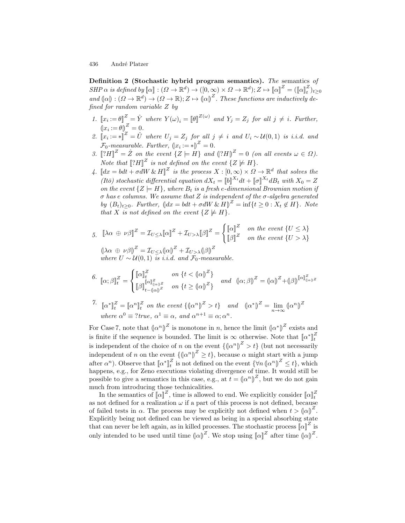Definition 2 (Stochastic hybrid program semantics). The semantics of  $SHP \alpha$  is defined by  $[\![\alpha]\!] : (\Omega \to \mathbb{R}^d) \to ([0, \infty) \times \Omega \to \mathbb{R}^d); Z \mapsto [\![\alpha]\!]^Z = ([\![\alpha]\!]_t^Z)_{t \geq 0}$ and  $(\alpha) : (\Omega \to \mathbb{R}^d) \to (\Omega \to \mathbb{R}); Z \mapsto (\alpha)^Z$ . These functions are inductively defined for random variable Z by

- 1.  $\llbracket x_i := \theta \rrbracket^Z = \hat{Y}$  where  $Y(\omega)_i = \llbracket \theta \rrbracket^{Z(\omega)}$  and  $Y_j = Z_j$  for all  $j \neq i$ . Further,  $(x_i := \theta)$ <sup>Z</sup> = 0.
- 2.  $[x_i := \ast]^{Z} = \hat{U}$  where  $U_j = Z_j$  for all  $j \neq i$  and  $U_i \sim \mathcal{U}(0, 1)$  is i.i.d. and  $\mathcal{F}_0$ -measurable. Further,  $(x_i := *)^Z = 0$ .
- 3.  $\llbracket ?H \rrbracket^Z = \hat{Z}$  on the event  $\{Z \models H\}$  and  $\llbracket ?H \rrbracket^Z = 0$  (on all events  $\omega \in \Omega$ ). Note that  $\llbracket ?H \rrbracket^Z$  is not defined on the event  $\{Z \not\models H\}.$
- 4.  $\llbracket dx = bdt + \sigma dW \& H \rrbracket^Z$  is the process  $X : [0, \infty) \times \Omega \to \mathbb{R}^d$  that solves the (Itō) stochastic differential equation  $dX_t = [b]^{X_t} dt + [\sigma]^{X_t} dB_t$  with  $X_0 = Z$ on the event  $\{Z \models H\}$ , where  $B_t$  is a fresh e-dimensional Brownian motion if σ has e columns. We assume that Z is independent of the σ-algebra generated by  $(B_t)_{t\geq 0}$ . Further,  $\left(\frac{dx}{dt} - \frac{bdt}{dt} + \frac{\sigma dW}{dt}\right)^2 = \inf\{t \geq 0 : X_t \notin H\}$ . Note that X is not defined on the event  $\{Z \not\models H\}.$

$$
5. \quad \left[\lambda \alpha \oplus \nu \beta\right]^Z = \mathcal{I}_{U \le \lambda} \left[\alpha\right]^Z + \mathcal{I}_{U > \lambda} \left[\beta\right]^Z = \begin{cases} \left[\alpha\right]^Z & \text{on the event } \{U \le \lambda\} \\ \left[\beta\right]^Z & \text{on the event } \{U > \lambda\} \end{cases}
$$

 $(\vert \lambda\alpha\> \oplus \> \nu\beta\vert)^Z = \mathcal{I}_{U\leq \lambda}(\vert \alpha\vert)^Z + \mathcal{I}_{U> \lambda}(\vert \beta\vert)^Z$ where  $U \sim \mathcal{U}(0, 1)$  is i.i.d. and  $\mathcal{F}_0$ -measurable.

$$
\mathcal{E} \left[ \alpha; \beta \right]_t^Z = \begin{cases} \n\left[ \alpha \right]_t^Z & \text{on } \{ t < (\alpha)^Z \} \\ \n\left[ \beta \right]_{t - (\alpha)^Z}^{\lceil \alpha \rceil_Z \rceil_Z} & \text{on } \{ t \geq (\alpha)^Z \} \n\end{cases} \quad \text{and} \quad (\alpha; \beta)^Z = (\alpha)^Z + (\beta)^{\lceil \alpha \rceil_Z^Z \rceil_Z}
$$

<sup>7</sup>.  $[\![\alpha^*]\!]_t^Z = [\![\alpha^n]\!]_t^Z$  on the event  $\{(\![\alpha^n]\!]^Z > t\}$  and  $(\![\alpha^*]\!]^Z = \lim_{n \to \infty} (\![\alpha^n]\!]^Z$ where  $\alpha^0 \equiv ?$  true,  $\alpha^1 \equiv \alpha$ , and  $\alpha^{n+1} \equiv \alpha; \alpha^n$ .

For Case 7, note that  $(\alpha^n)^Z$  is monotone in n, hence the limit  $(\alpha^*)^Z$  exists and is finite if the sequence is bounded. The limit is  $\infty$  otherwise. Note that  $\llbracket \alpha^* \rrbracket_t^Z$ is independent of the choice of n on the event  ${({|\alpha^n|)}^Z > t}$  (but not necessarily independent of n on the event  ${({|\alpha^n|)}^Z \ge t}$ , because  $\alpha$  might start with a jump after  $\alpha^n$ ). Observe that  $\llbracket \alpha^* \rrbracket_t^Z$  is not defined on the event  $\{ \forall n (\alpha^n) \mid x \leq t \}$ , which happens, e.g., for Zeno executions violating divergence of time. It would still be possible to give a semantics in this case, e.g., at  $\check{t} = (\alpha^n)^Z$ , but we do not gain much from introducing those technicalities.

In the semantics of  $[\![\alpha]\!]^Z$ , time is allowed to end. We explicitly consider  $[\![\alpha]\!]_t^Z$ as not defined for a realization  $\omega$  if a part of this process is not defined, because of failed tests in  $\alpha$ . The process may be explicitly not defined when  $t > (\alpha)^Z$ . Explicitly being not defined can be viewed as being in a special absorbing state that can never be left again, as in killed processes. The stochastic process  $\llbracket \alpha \rrbracket^Z$  is only intended to be used until time  $(\alpha)^Z$ . We stop using  $\llbracket \alpha \rrbracket^Z$  after time  $(\llbracket \alpha \rrbracket^Z$ .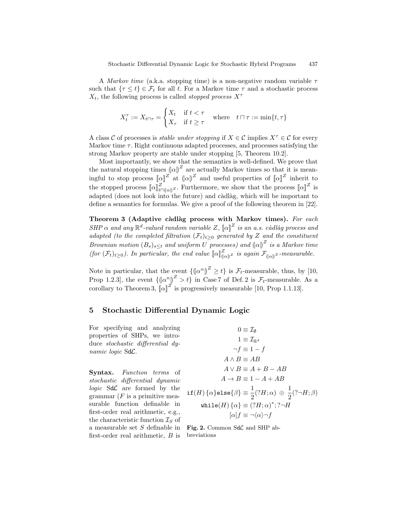A Markov time (a.k.a. stopping time) is a non-negative random variable  $\tau$ such that  $\{\tau \leq t\} \in \mathcal{F}_t$  for all t. For a Markov time  $\tau$  and a stochastic process  $X_t$ , the following process is called *stopped process*  $X^{\tau}$ 

$$
X_t^{\tau} := X_{t \sqcap \tau} = \begin{cases} X_t & \text{if } t < \tau \\ X_{\tau} & \text{if } t \geq \tau \end{cases} \quad \text{where} \quad t \sqcap \tau := \min\{t, \tau\}
$$

A class C of processes is *stable under stopping* if  $X \in \mathcal{C}$  implies  $X^{\tau} \in \mathcal{C}$  for every Markov time  $\tau$ . Right continuous adapted processes, and processes satisfying the strong Markov property are stable under stopping [5, Theorem 10.2].

Most importantly, we show that the semantics is well-defined. We prove that the natural stopping times  $(\alpha)^Z$  are actually Markov times so that it is meaningful to stop process  $\llbracket \alpha \rrbracket^Z$  at  $(\llbracket \alpha \rrbracket^Z$  and useful properties of  $\llbracket \alpha \rrbracket^Z$  inherit to the stopped process  $\llbracket \alpha \rrbracket_{t \sqcap (\alpha)}^Z$ . Furthermore, we show that the process  $\llbracket \alpha \rrbracket^Z$  is adapted (does not look into the future) and càdlàg, which will be important to define a semantics for formulas. We give a proof of the following theorem in [22].

Theorem 3 (Adaptive càdlàg process with Markov times). For each SHP  $\alpha$  and any  $\mathbb{R}^d$ -valued random variable Z,  $\llbracket \alpha \rrbracket^Z$  is an a.s. càdlàg process and adapted (to the completed filtration  $(\mathcal{F}_t)_{t\geq 0}$  generated by Z and the constituent Brownian motion  $(B_s)_{s\leq t}$  and uniform U processes) and  $(\alpha)^Z$  is a Markov time (for  $(\mathcal{F}_t)_{t\geq0}$ ). In particular, the end value  $\llbracket \alpha \rrbracket_{(\alpha)}^Z$  is again  $\mathcal{F}_{(\alpha)}$  -measurable.

Note in particular, that the event  $\{\left(\alpha^n\right)^Z \geq t\}$  is  $\mathcal{F}_t$ -measurable, thus, by [10, Prop 1.2.3, the event  $\{(\alpha^n)^Z > t\}$  in Case 7 of Def. 2 is  $\mathcal{F}_t$ -measurable. As a corollary to Theorem 3,  $\llbracket \alpha \rrbracket^Z$  is progressively measurable [10, Prop 1.1.13].

# 5 Stochastic Differential Dynamic Logic

For specifying and analyzing properties of SHPs, we introduce stochastic differential dynamic logic SdL.

Syntax. Function terms of stochastic differential dynamic  $logic$  Sd $C$  are formed by the grammar  $(F$  is a primitive measurable function definable in first-order real arithmetic, e.g., the characteristic function  $\mathcal{I}_S$  of a measurable set  $S$  definable in first-order real arithmetic, B is

$$
0 \equiv \mathcal{I}_{\emptyset}
$$
  
\n
$$
1 \equiv \mathcal{I}_{\mathbb{R}^{d}}
$$
  
\n
$$
\neg f \equiv 1 - f
$$
  
\n
$$
A \land B \equiv AB
$$
  
\n
$$
A \lor B \equiv A + B - AB
$$
  
\n
$$
A \rightarrow B \equiv 1 - A + AB
$$
  
\n
$$
\text{if}(H) \{\alpha\} \text{else}\{\beta\} \equiv \frac{1}{2}(?H; \alpha) \oplus \frac{1}{2} (? \neg H; \beta)
$$
  
\n
$$
\text{while}(H) \{\alpha\} \equiv (?H; \alpha)^{*}; ? \neg H
$$
  
\n
$$
[\alpha]f \equiv \neg \langle \alpha \rangle \neg f
$$

Fig. 2. Common SdC and SHP abbreviations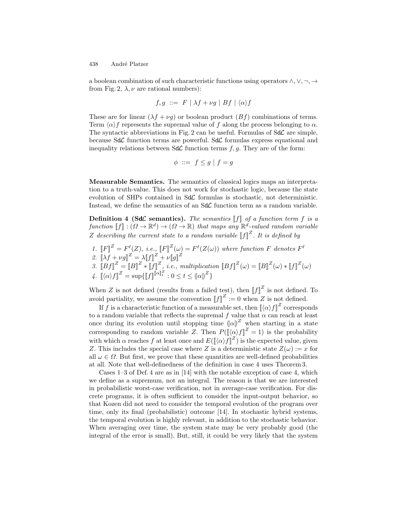a boolean combination of such characteristic functions using operators ∧, ∨, ¬, → from Fig. 2,  $\lambda$ ,  $\nu$  are rational numbers):

$$
f,g \ ::= \ F \mid \lambda f + \nu g \mid Bf \mid \langle \alpha \rangle f
$$

These are for linear  $(\lambda f + \nu g)$  or boolean product  $(Bf)$  combinations of terms. Term  $\langle \alpha \rangle f$  represents the supremal value of f along the process belonging to  $\alpha$ . The syntactic abbreviations in Fig. 2 can be useful. Formulas of  $Sd\mathcal{L}$  are simple, because  $Sd\mathcal{L}$  function terms are powerful.  $Sd\mathcal{L}$  formulas express equational and inequality relations between  $Sd\mathcal{L}$  function terms f, g. They are of the form:

$$
\phi \ ::= \ f \leq g \mid f = g
$$

Measurable Semantics. The semantics of classical logics maps an interpretation to a truth-value. This does not work for stochastic logic, because the state evolution of SHPs contained in  $Sd\mathcal{L}$  formulas is stochastic, not deterministic. Instead, we define the semantics of an  $Sd\mathcal{L}$  function term as a random variable.

**Definition 4 (SdC semantics).** The semantics  $\llbracket f \rrbracket$  of a function term f is a function  $[[f]] : (\Omega \to \mathbb{R}^d) \to (\Omega \to \mathbb{R})$  that maps any  $\mathbb{R}^d$ -valued random variable Z describing the current state to a random variable  $\llbracket f \rrbracket^Z$ . It is defined by

- 1.  $\llbracket F \rrbracket^Z = F^{\ell}(Z), \text{ i.e., } \llbracket F \rrbracket^Z(\omega) = F^{\ell}(Z(\omega))$  where function F denotes  $F^{\ell}$
- 2.  $[\![\lambda f + \nu g]\!]^Z = \lambda [\![f]\!]^Z + \nu [\![g]\!]^Z$
- 3.  $[[Bf]]^Z = [[B]]^Z * [[f]]^Z$ , *i.e.*, multiplication  $[[Bf]]^Z(\omega) = [[B]]^Z(\omega) * [[f]]^Z(\omega)$ 4.  $[\langle \alpha \rangle f]^{Z} = \sup \{ [f]^{[\alpha]_t^{Z}} : 0 \le t \le (\alpha)^{Z} \}$

When Z is not defined (results from a failed test), then  $\llbracket f \rrbracket^Z$  is not defined. To avoid partiality, we assume the convention  $\llbracket f \rrbracket^Z := 0$  when Z is not defined.

If f is a characteristic function of a measurable set, then  $\left[\langle \alpha \rangle f\right]^Z$  corresponds to a random variable that reflects the supremal f value that  $\alpha$  can reach at least once during its evolution until stopping time  $(\alpha)^Z$  when starting in a state corresponding to random variable Z. Then  $P(\sqrt{|\langle \alpha \rangle}f \|^Z = 1)$  is the probability with which  $\alpha$  reaches f at least once and  $E([{\langle \alpha \rangle} f]^Z)$  is the expected value, given Z. This includes the special case where Z is a deterministic state  $Z(\omega) := x$  for all  $\omega \in \Omega$ . But first, we prove that these quantities are well-defined probabilities at all. Note that well-definedness of the definition in case 4 uses Theorem 3.

Cases 1–3 of Def. 4 are as in [14] with the notable exception of case 4, which we define as a supremum, not an integral. The reason is that we are interested in probabilistic worst-case verification, not in average-case verification. For discrete programs, it is often sufficient to consider the input-output behavior, so that Kozen did not need to consider the temporal evolution of the program over time, only its final (probabilistic) outcome [14]. In stochastic hybrid systems, the temporal evolution is highly relevant, in addition to the stochastic behavior. When averaging over time, the system state may be very probably good (the integral of the error is small). But, still, it could be very likely that the system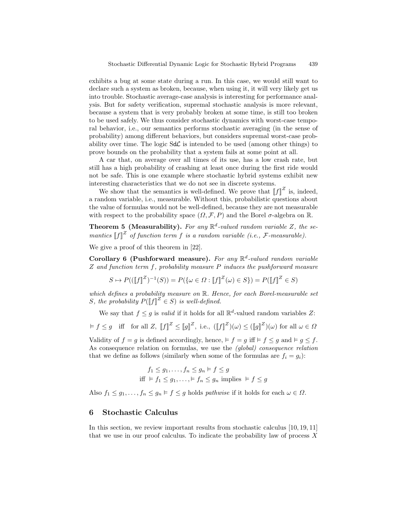exhibits a bug at some state during a run. In this case, we would still want to declare such a system as broken, because, when using it, it will very likely get us into trouble. Stochastic average-case analysis is interesting for performance analysis. But for safety verification, supremal stochastic analysis is more relevant, because a system that is very probably broken at some time, is still too broken to be used safely. We thus consider stochastic dynamics with worst-case temporal behavior, i.e., our semantics performs stochastic averaging (in the sense of probability) among different behaviors, but considers supremal worst-case probability over time. The logic  $Sd\mathcal{L}$  is intended to be used (among other things) to prove bounds on the probability that a system fails at some point at all.

A car that, on average over all times of its use, has a low crash rate, but still has a high probability of crashing at least once during the first ride would not be safe. This is one example where stochastic hybrid systems exhibit new interesting characteristics that we do not see in discrete systems.

We show that the semantics is well-defined. We prove that  $\llbracket f \rrbracket^Z$  is, indeed, a random variable, i.e., measurable. Without this, probabilistic questions about the value of formulas would not be well-defined, because they are not measurable with respect to the probability space  $(\Omega, \mathcal{F}, P)$  and the Borel  $\sigma$ -algebra on R.

**Theorem 5 (Measurability).** For any  $\mathbb{R}^d$ -valued random variable Z, the semantics  $\llbracket f \rrbracket^Z$  of function term f is a random variable (i.e., F-measurable).

We give a proof of this theorem in [22].

Corollary 6 (Pushforward measure). For any  $\mathbb{R}^d$ -valued random variable Z and function term f, probability measure P induces the pushforward measure

$$
S \mapsto P((\llbracket f \rrbracket^Z)^{-1}(S)) = P(\{\omega \in \Omega : \llbracket f \rrbracket^Z(\omega) \in S\}) = P(\llbracket f \rrbracket^Z \in S)
$$

which defines a probability measure on R. Hence, for each Borel-measurable set S, the probability  $P([\![f]\!]^Z \in S)$  is well-defined.

We say that  $f \leq g$  is *valid* if it holds for all  $\mathbb{R}^d$ -valued random variables Z:

$$
\models f \le g \quad \text{iff} \quad \text{for all } Z, \; [f]^Z \le [g]^Z, \text{ i.e., } ([f]^Z)(\omega) \le ([g]^Z)(\omega) \text{ for all } \omega \in \Omega
$$

Validity of  $f = g$  is defined accordingly, hence,  $f = g$  if  $f \le g$  and  $f \le g \le f$ . As consequence relation on formulas, we use the (global) consequence relation that we define as follows (similarly when some of the formulas are  $f_i = g_i$ ):

$$
f_1 \le g_1, \dots, f_n \le g_n \models f \le g
$$
  
iff 
$$
\models f_1 \le g_1, \dots, \models f_n \le g_n \text{ implies } \models f \le g
$$

Also  $f_1 \leq g_1, \ldots, f_n \leq g_n \models f \leq g$  holds pathwise if it holds for each  $\omega \in \Omega$ .

### 6 Stochastic Calculus

In this section, we review important results from stochastic calculus [10, 19, 11] that we use in our proof calculus. To indicate the probability law of process  $X$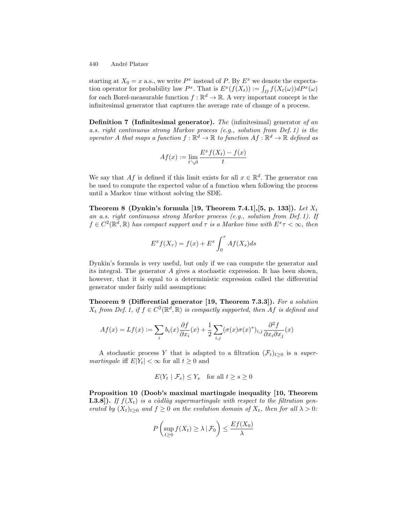starting at  $X_0 = x$  a.s., we write  $P^x$  instead of P. By  $E^x$  we denote the expectation operator for probability law  $P^x$ . That is  $E^x(f(X_t)) := \int_{\Omega} f(X_t(\omega))dP^x(\omega)$ for each Borel-measurable function  $f : \mathbb{R}^d \to \mathbb{R}$ . A very important concept is the infinitesimal generator that captures the average rate of change of a process.

**Definition 7** (Infinitesimal generator). The (infinitesimal) generator of an a.s. right continuous strong Markov process (e.g., solution from Def. 1) is the operator A that maps a function  $f : \mathbb{R}^d \to \mathbb{R}$  to function  $Af : \mathbb{R}^d \to \mathbb{R}$  defined as

$$
Af(x) := \lim_{t \searrow 0} \frac{E^x f(X_t) - f(x)}{t}
$$

We say that Af is defined if this limit exists for all  $x \in \mathbb{R}^d$ . The generator can be used to compute the expected value of a function when following the process until a Markov time without solving the SDE.

Theorem 8 (Dynkin's formula [19, Theorem 7.4.1], [5, p. 133]). Let  $X_t$ an a.s. right continuous strong Markov process (e.g., solution from Def. 1). If  $f \in C^2(\mathbb{R}^d, \mathbb{R})$  has compact support and  $\tau$  is a Markov time with  $E^x \tau < \infty$ , then

$$
E^x f(X_\tau) = f(x) + E^x \int_0^\tau A f(X_s) ds
$$

Dynkin's formula is very useful, but only if we can compute the generator and its integral. The generator A gives a stochastic expression. It has been shown, however, that it is equal to a deterministic expression called the differential generator under fairly mild assumptions:

Theorem 9 (Differential generator [19, Theorem 7.3.3]). For a solution  $X_t$  from Def. 1, if  $f \in C^2(\mathbb{R}^d, \mathbb{R})$  is compactly supported, then Af is defined and

$$
Af(x) = Lf(x) := \sum_{i} b_i(x) \frac{\partial f}{\partial x_i}(x) + \frac{1}{2} \sum_{i,j} (\sigma(x)\sigma(x)^*)_{i,j} \frac{\partial^2 f}{\partial x_i \partial x_j}(x)
$$

A stochastic process Y that is adapted to a filtration  $(\mathcal{F}_t)_{t>0}$  is a super*martingale* iff  $E|Y_t| < \infty$  for all  $t \geq 0$  and

$$
E(Y_t \mid \mathcal{F}_s) \le Y_s \quad \text{for all } t \ge s \ge 0
$$

Proposition 10 (Doob's maximal martingale inequality [10, Theorem **I.3.8**). If  $f(X_t)$  is a càdlàg supermartingale with respect to the filtration generated by  $(X_t)_{t\geq 0}$  and  $f \geq 0$  on the evolution domain of  $X_t$ , then for all  $\lambda > 0$ :

$$
P\left(\sup_{t\geq 0} f(X_t) \geq \lambda \,|\,\mathcal{F}_0\right) \leq \frac{Ef(X_0)}{\lambda}
$$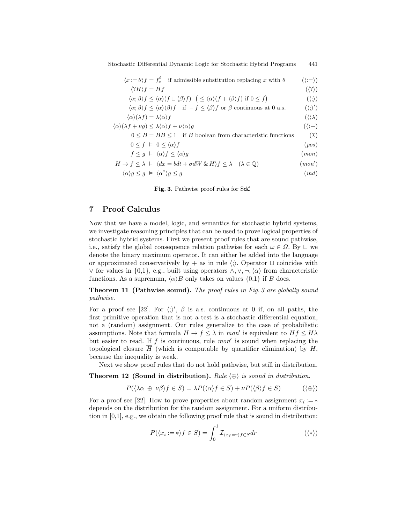Stochastic Differential Dynamic Logic for Stochastic Hybrid Programs 441

| $\langle x:=\theta\rangle f=f_x^{\theta}$ if admissible substitution replacing x with $\theta$                                                                                        | $(\langle := \rangle)$      |
|---------------------------------------------------------------------------------------------------------------------------------------------------------------------------------------|-----------------------------|
| $\langle ?H \rangle f = Hf$                                                                                                                                                           | $(\langle ? \rangle)$       |
| $\langle \alpha; \beta \rangle f \leq \langle \alpha \rangle (f \sqcup \langle \beta \rangle f) \ \ (\leq \langle \alpha \rangle (f + \langle \beta \rangle f) \text{ if } 0 \leq f)$ | $(\langle ; \rangle)$       |
| $\langle \alpha; \beta \rangle f \leq \langle \alpha \rangle \langle \beta \rangle f$ if $\models f \leq \langle \beta \rangle f$ or $\beta$ continuous at 0 a.s.                     | $(\langle ; \rangle')$      |
| $\langle \alpha \rangle (\lambda f) = \lambda \langle \alpha \rangle f$                                                                                                               | $(\langle \rangle \lambda)$ |
| $\langle \alpha \rangle (\lambda f + \nu g) \leq \lambda \langle \alpha \rangle f + \nu \langle \alpha \rangle g$                                                                     | $(\langle\rangle + )$       |
| $0 \leq B = BB \leq 1$ if B boolean from characteristic functions                                                                                                                     | $(\mathcal{I})$             |
| $0 \leq f \models 0 \leq \langle \alpha \rangle f$                                                                                                                                    | (pos)                       |
| $f \leq g \models \langle \alpha \rangle f \leq \langle \alpha \rangle g$                                                                                                             | (mon)                       |
| $H \to f \leq \lambda \models \langle dx = bdt + \sigma dW \& H \rangle f \leq \lambda \quad (\lambda \in \mathbb{Q})$                                                                | (mon')                      |
| $\langle \alpha \rangle g \leq g \models \langle \alpha^* \rangle g \leq g$                                                                                                           | (ind)                       |

Fig. 3. Pathwise proof rules for SdC

## 7 Proof Calculus

Now that we have a model, logic, and semantics for stochastic hybrid systems, we investigate reasoning principles that can be used to prove logical properties of stochastic hybrid systems. First we present proof rules that are sound pathwise, i.e., satisfy the global consequence relation pathwise for each  $\omega \in \Omega$ . By  $\sqcup$  we denote the binary maximum operator. It can either be added into the language or approximated conservatively by  $+$  as in rule  $\langle \cdot \rangle$ . Operator  $\sqcup$  coincides with  $\lor$  for values in {0,1}, e.g., built using operators ∧,  $\lor$ ,  $\neg$ ,  $\langle \alpha \rangle$  from characteristic functions. As a supremum,  $\langle \alpha \rangle B$  only takes on values  $\{0,1\}$  if B does.

Theorem 11 (Pathwise sound). The proof rules in Fig. 3 are globally sound pathwise.

For a proof see [22]. For  $\langle ; \rangle'$ ,  $\beta$  is a.s. continuous at 0 if, on all paths, the first primitive operation that is not a test is a stochastic differential equation, not a (random) assignment. Our rules generalize to the case of probabilistic assumptions. Note that formula  $\overline{H} \to f \leq \lambda$  in mon' is equivalent to  $\overline{H}f \leq \overline{H}\lambda$ but easier to read. If  $f$  is continuous, rule  $mon'$  is sound when replacing the topological closure  $\overline{H}$  (which is computable by quantifier elimination) by  $H$ , because the inequality is weak.

Next we show proof rules that do not hold pathwise, but still in distribution.

**Theorem 12 (Sound in distribution).** Rule  $\langle \oplus \rangle$  is sound in distribution.

$$
P(\langle \lambda \alpha \oplus \nu \beta \rangle f \in S) = \lambda P(\langle \alpha \rangle f \in S) + \nu P(\langle \beta \rangle f \in S) \tag{(\oplus)}
$$

For a proof see [22]. How to prove properties about random assignment  $x_i := *$ depends on the distribution for the random assignment. For a uniform distribution in  $[0,1]$ , e.g., we obtain the following proof rule that is sound in distribution:

$$
P(\langle x_i := * \rangle f \in S) = \int_0^1 \mathcal{I}_{\langle x_i := r \rangle f \in S} dr \tag{(*)}
$$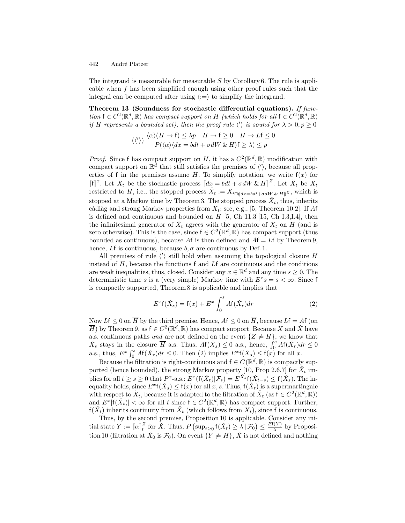The integrand is measurable for measurable  $S$  by Corollary 6. The rule is applicable when  $f$  has been simplified enough using other proof rules such that the integral can be computed after using  $\langle := \rangle$  to simplify the integrand.

Theorem 13 (Soundness for stochastic differential equations). If function  $f \in C^2(\mathbb{R}^d, \mathbb{R})$  has compact support on H (which holds for all  $f \in C^2(\mathbb{R}^d, \mathbb{R})$ if H represents a bounded set), then the proof rule  $\langle \rangle$  is sound for  $\lambda > 0, p \ge 0$ 

$$
(\langle')\rangle \frac{\langle \alpha \rangle (H \to f) \le \lambda p \quad H \to f \ge 0 \quad H \to Lf \le 0}{P(\langle \alpha \rangle \langle dx = bdt + \sigma dW \& H \rangle f \ge \lambda) \le p}
$$

*Proof.* Since f has compact support on H, it has a  $C^2(\mathbb{R}^d, \mathbb{R})$  modification with compact support on  $\mathbb{R}^d$  that still satisfies the premises of  $\langle \cdot \rangle$ , because all properties of f in the premises assume H. To simplify notation, we write  $f(x)$  for  $[[f]]^x$ . Let  $X_t$  be the stochastic process  $[[dx = bdt + \sigma dW \& H]]^Z$ . Let  $\check{X}_t$  be  $X_t$ restricted to H, i.e., the stopped process  $\check{X}_t := X_{t \cap (dx = bdt + \sigma dW \& H)^Z}$ , which is stopped at a Markov time by Theorem 3. The stopped process  $\check{X}_t$ , thus, inherits càdlàg and strong Markov properties from  $X_t$ ; see, e.g., [5, Theorem 10.2]. If Af is defined and continuous and bounded on  $H$  [5, Ch 11.3][15, Ch I.3,I.4], then the infinitesimal generator of  $\check{X}_t$  agrees with the generator of  $X_t$  on H (and is zero otherwise). This is the case, since  $f \in C^2(\mathbb{R}^d, \mathbb{R})$  has compact support (thus bounded as continuous), because Af is then defined and  $Af = Lf$  by Theorem 9, hence, Lf is continuous, because  $b, \sigma$  are continuous by Def. 1.

All premises of rule  $\langle \rangle$  still hold when assuming the topological closure  $\overline{H}$ instead of  $H$ , because the functions f and  $Lf$  are continuous and the conditions are weak inequalities, thus, closed. Consider any  $x \in \mathbb{R}^d$  and any time  $s \geq 0$ . The deterministic time s is a (very simple) Markov time with  $E^x s = s < \infty$ . Since f is compactly supported, Theorem 8 is applicable and implies that

$$
E^x \mathsf{f}(\check{X}_s) = \mathsf{f}(x) + E^x \int_0^s A \mathsf{f}(\check{X}_r) dr \tag{2}
$$

Now  $Lf < 0$  on  $\overline{H}$  by the third premise. Hence,  $Af < 0$  on  $\overline{H}$ , because  $Lf = Af$  (on  $\overline{H}$ ) by Theorem 9, as  $f \in C^2(\mathbb{R}^d, \mathbb{R})$  has compact support. Because X and X have a.s. continuous paths and are not defined on the event  $\{Z \not\models H\}$ , we know that  $\check{X}_s$  stays in the closure  $\overline{H}$  a.s. Thus,  $A f(\check{X}_s) \leq 0$  a.s., hence,  $\int_0^s A f(\check{X}_r) dr \leq 0$ a.s., thus,  $E^x \int_0^s Af(\check{X}_r)dr \leq 0$ . Then (2) implies  $E^x f(\check{X}_s) \leq f(x)$  for all x.

Because the filtration is right-continuous and  $f \in C(\mathbb{R}^d, \mathbb{R})$  is compactly supported (hence bounded), the strong Markov property [10, Prop 2.6.7] for  $\check{X}_t$  implies for all  $t \ge s \ge 0$  that  $P^x$ -a.s.:  $E^x(\mathsf{f}(\check{X}_t)|\mathcal{F}_s) = E^{\check{X}_s}\mathsf{f}(\check{X}_{t-s}) \le \mathsf{f}(\check{X}_s)$ . The inequality holds, since  $E^x f(\check{X}_s) \leq f(x)$  for all x, s. Thus,  $f(\check{X}_t)$  is a supermartingale with respect to  $\check{X}_t$ , because it is adapted to the filtration of  $\check{X}_t$  (as  $f \in C^2(\mathbb{R}^d, \mathbb{R})$ ) and  $E^x |f(\check{X}_t)| < \infty$  for all t since  $f \in C^2(\mathbb{R}^d, \mathbb{R})$  has compact support. Further,  $f(X_t)$  inherits continuity from  $\check{X}_t$  (which follows from  $X_t$ ), since f is continuous.

Thus, by the second premise, Proposition 10 is applicable. Consider any initial state  $Y := [\![\alpha]\!]_t^Z$  for  $\check{X}$ . Thus,  $P(\sup_{t\geq 0} f(\check{X}_t) \geq \lambda \,|\,\mathcal{F}_0) \leq \frac{Ef(Y)}{\lambda}$  $\frac{f(Y)}{\lambda}$  by Proposition 10 (filtration at  $\check{X}_0$  is  $\mathcal{F}_0$ ). On event  $\{\overline{Y} \not\models H\}$ ,  $\check{X}$  is not defined and nothing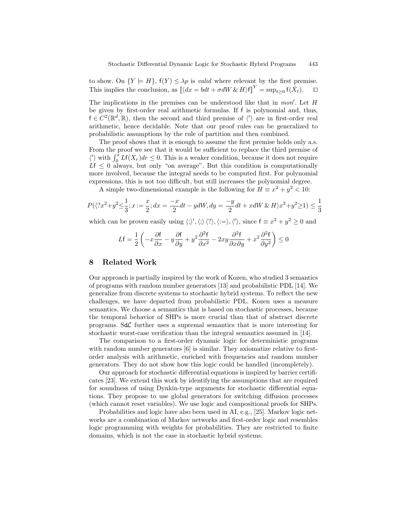to show. On  $\{Y \models H\}$ ,  $f(Y) \leq \lambda p$  is *valid* where relevant by the first premise. This implies the conclusion, as  $[\langle dx = bdt + \sigma dW \& H \rangle f]^Y = \sup_{t \ge 0} f(\check{X}_t)$ .  $\Box$ 

The implications in the premises can be understood like that in  $mon'$ . Let  $H$ be given by first-order real arithmetic formulas. If f is polynomial and, thus,  $f \in C^2(\mathbb{R}^d, \mathbb{R})$ , then the second and third premise of  $\langle \cdot \rangle$  are in first-order real arithmetic, hence decidable. Note that our proof rules can be generalized to probabilistic assumptions by the rule of partition and then combined.

The proof shows that it is enough to assume the first premise holds only a.s. From the proof we see that it would be sufficient to replace the third premise of  $\langle \rangle$  with  $\int_0^s Lf(X_r)dr \leq 0$ . This is a weaker condition, because it does not require  $Lf \leq 0$  always, but only "on average". But this condition is computationally more involved, because the integral needs to be computed first. For polynomial expressions, this is not too difficult, but still increases the polynomial degree.

A simple two-dimensional example is the following for  $H \equiv x^2 + y^2 < 10$ :

$$
P(\langle 2x^2 + y^2 \le \frac{1}{3}; x := \frac{x}{2}; dx = \frac{-x}{2}dt - ydW, dy = \frac{-y}{2}dt + xdW \& H(x^2 + y^2 \ge 1) \le \frac{1}{3}
$$

which can be proven easily using  $\langle ; \rangle', \langle ; \rangle \langle ? \rangle, \langle := \rangle, \langle \rangle$ , since  $f \equiv x^2 + y^2 \ge 0$  and

$$
Lf = \frac{1}{2} \left( -x \frac{\partial f}{\partial x} - y \frac{\partial f}{\partial y} + y^2 \frac{\partial^2 f}{\partial x^2} - 2xy \frac{\partial^2 f}{\partial x \partial y} + x^2 \frac{\partial^2 f}{\partial y^2} \right) \le 0
$$

## 8 Related Work

Our approach is partially inspired by the work of Kozen, who studied 3 semantics of programs with random number generators [13] and probabilistic PDL [14]. We generalize from discrete systems to stochastic hybrid systems. To reflect the new challenges, we have departed from probabilistic PDL. Kozen uses a measure semantics. We choose a semantics that is based on stochastic processes, because the temporal behavior of SHPs is more crucial than that of abstract discrete programs.  $Sd\mathcal{L}$  further uses a supremal semantics that is more interesting for stochastic worst-case verification than the integral semantics assumed in [14].

The comparison to a first-order dynamic logic for deterministic programs with random number generators [6] is similar. They axiomatize relative to firstorder analysis with arithmetic, enriched with frequencies and random number generators. They do not show how this logic could be handled (incompletely).

Our approach for stochastic differential equations is inspired by barrier certificates [23]. We extend this work by identifying the assumptions that are required for soundness of using Dynkin-type arguments for stochastic differential equations. They propose to use global generators for switching diffusion processes (which cannot reset variables). We use logic and compositional proofs for SHPs.

Probabilities and logic have also been used in AI, e.g., [25]. Markov logic networks are a combination of Markov networks and first-order logic and resembles logic programming with weights for probabilities. They are restricted to finite domains, which is not the case in stochastic hybrid systems.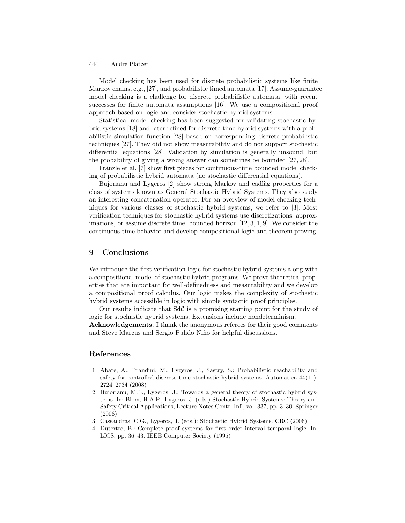Model checking has been used for discrete probabilistic systems like finite Markov chains, e.g., [27], and probabilistic timed automata [17]. Assume-guarantee model checking is a challenge for discrete probabilistic automata, with recent successes for finite automata assumptions [16]. We use a compositional proof approach based on logic and consider stochastic hybrid systems.

Statistical model checking has been suggested for validating stochastic hybrid systems [18] and later refined for discrete-time hybrid systems with a probabilistic simulation function [28] based on corresponding discrete probabilistic techniques [27]. They did not show measurability and do not support stochastic differential equations [28]. Validation by simulation is generally unsound, but the probability of giving a wrong answer can sometimes be bounded [27, 28].

Fränzle et al. [7] show first pieces for continuous-time bounded model checking of probabilistic hybrid automata (no stochastic differential equations).

Bujorianu and Lygeros  $[2]$  show strong Markov and càdlàg properties for a class of systems known as General Stochastic Hybrid Systems. They also study an interesting concatenation operator. For an overview of model checking techniques for various classes of stochastic hybrid systems, we refer to [3]. Most verification techniques for stochastic hybrid systems use discretizations, approximations, or assume discrete time, bounded horizon [12, 3, 1, 9]. We consider the continuous-time behavior and develop compositional logic and theorem proving.

## 9 Conclusions

We introduce the first verification logic for stochastic hybrid systems along with a compositional model of stochastic hybrid programs. We prove theoretical properties that are important for well-definedness and measurability and we develop a compositional proof calculus. Our logic makes the complexity of stochastic hybrid systems accessible in logic with simple syntactic proof principles.

Our results indicate that  $Sd\mathcal{L}$  is a promising starting point for the study of logic for stochastic hybrid systems. Extensions include nondeterminism.

Acknowledgements. I thank the anonymous referees for their good comments and Steve Marcus and Sergio Pulido Niño for helpful discussions.

# References

- 1. Abate, A., Prandini, M., Lygeros, J., Sastry, S.: Probabilistic reachability and safety for controlled discrete time stochastic hybrid systems. Automatica 44(11), 2724–2734 (2008)
- 2. Bujorianu, M.L., Lygeros, J.: Towards a general theory of stochastic hybrid systems. In: Blom, H.A.P., Lygeros, J. (eds.) Stochastic Hybrid Systems: Theory and Safety Critical Applications, Lecture Notes Contr. Inf., vol. 337, pp. 3–30. Springer (2006)
- 3. Cassandras, C.G., Lygeros, J. (eds.): Stochastic Hybrid Systems. CRC (2006)
- 4. Dutertre, B.: Complete proof systems for first order interval temporal logic. In: LICS. pp. 36–43. IEEE Computer Society (1995)